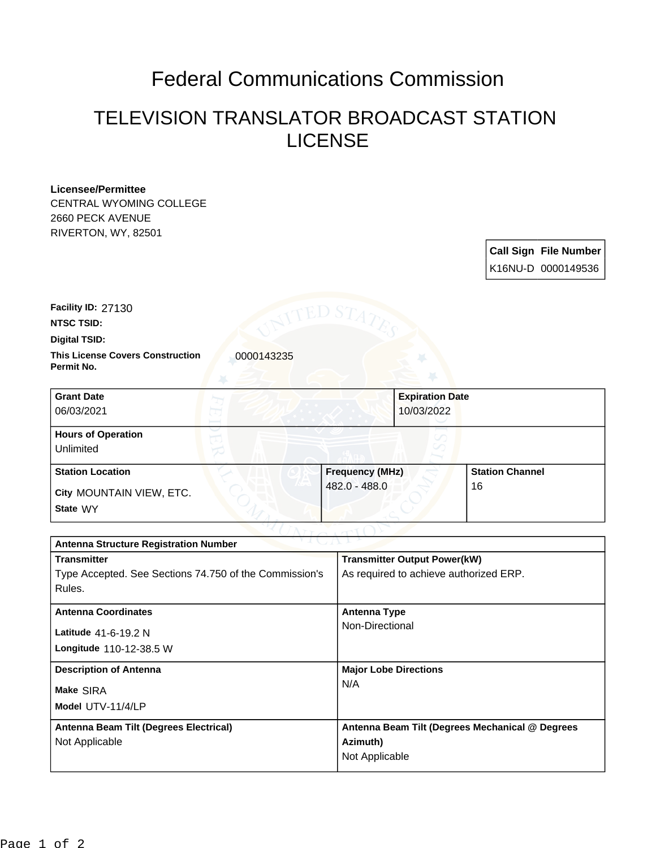## Federal Communications Commission

## TELEVISION TRANSLATOR BROADCAST STATION LICENSE

## **Licensee/Permittee**

CENTRAL WYOMING COLLEGE 2660 PECK AVENUE RIVERTON, WY, 82501

> **Call Sign File Number** K16NU-D 0000149536

**Facility ID:** 27130

**NTSC TSID:**

**Digital TSID:**

**This License Covers Construction 10000143235 Permit No.**

| <b>Grant Date</b><br>06/03/2021        | <b>Expiration Date</b><br>10/03/2022 |                        |  |
|----------------------------------------|--------------------------------------|------------------------|--|
| <b>Hours of Operation</b><br>Unlimited |                                      |                        |  |
| <b>Station Location</b>                | <b>Frequency (MHz)</b>               | <b>Station Channel</b> |  |
| City MOUNTAIN VIEW, ETC.<br>State WY   | 482.0 - 488.0                        | 16                     |  |

| <b>Antenna Structure Registration Number</b>           |                                                 |  |  |
|--------------------------------------------------------|-------------------------------------------------|--|--|
| <b>Transmitter</b>                                     | <b>Transmitter Output Power(kW)</b>             |  |  |
| Type Accepted. See Sections 74.750 of the Commission's | As required to achieve authorized ERP.          |  |  |
| Rules.                                                 |                                                 |  |  |
| <b>Antenna Coordinates</b>                             | Antenna Type                                    |  |  |
| Latitude 41-6-19.2 N                                   | Non-Directional                                 |  |  |
|                                                        |                                                 |  |  |
| <b>Longitude 110-12-38.5 W</b>                         |                                                 |  |  |
| <b>Description of Antenna</b>                          | <b>Major Lobe Directions</b>                    |  |  |
| Make SIRA                                              | N/A                                             |  |  |
| Model UTV-11/4/LP                                      |                                                 |  |  |
|                                                        |                                                 |  |  |
| Antenna Beam Tilt (Degrees Electrical)                 | Antenna Beam Tilt (Degrees Mechanical @ Degrees |  |  |
| Not Applicable                                         | Azimuth)                                        |  |  |
|                                                        | Not Applicable                                  |  |  |
|                                                        |                                                 |  |  |